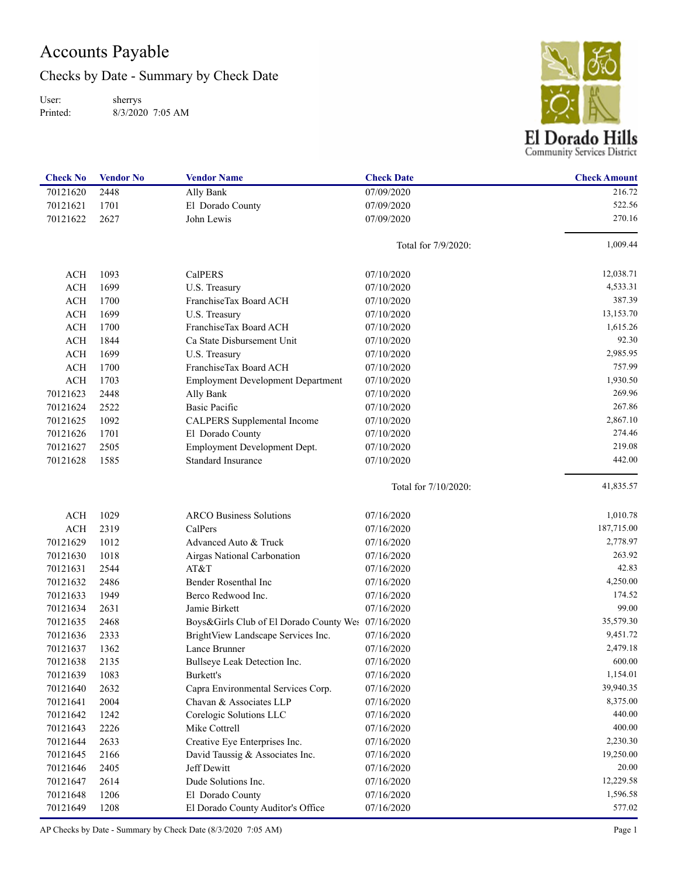## Accounts Payable

Checks by Date - Summary by Check Date

User: Printed: sherrys 8/3/2020 7:05 AM



| <b>Check No</b> | <b>Vendor No</b> | <b>Vendor Name</b>                                 | <b>Check Date</b>    | <b>Check Amount</b> |
|-----------------|------------------|----------------------------------------------------|----------------------|---------------------|
| 70121620        | 2448             | Ally Bank                                          | 07/09/2020           | 216.72              |
| 70121621        | 1701             | El Dorado County                                   | 07/09/2020           | 522.56              |
| 70121622        | 2627             | John Lewis                                         | 07/09/2020           | 270.16              |
|                 |                  |                                                    | Total for 7/9/2020:  | 1,009.44            |
| <b>ACH</b>      | 1093             | CalPERS                                            | 07/10/2020           | 12,038.71           |
| <b>ACH</b>      | 1699             | U.S. Treasury                                      | 07/10/2020           | 4,533.31            |
| <b>ACH</b>      | 1700             | FranchiseTax Board ACH                             | 07/10/2020           | 387.39              |
| <b>ACH</b>      | 1699             | U.S. Treasury                                      | 07/10/2020           | 13,153.70           |
| <b>ACH</b>      | 1700             | FranchiseTax Board ACH                             | 07/10/2020           | 1,615.26            |
| <b>ACH</b>      | 1844             | Ca State Disbursement Unit                         | 07/10/2020           | 92.30               |
| <b>ACH</b>      | 1699             | U.S. Treasury                                      | 07/10/2020           | 2,985.95            |
| <b>ACH</b>      | 1700             | FranchiseTax Board ACH                             | 07/10/2020           | 757.99              |
| <b>ACH</b>      | 1703             | <b>Employment Development Department</b>           | 07/10/2020           | 1,930.50            |
| 70121623        | 2448             | Ally Bank                                          | 07/10/2020           | 269.96              |
| 70121624        | 2522             | <b>Basic Pacific</b>                               | 07/10/2020           | 267.86              |
| 70121625        | 1092             | CALPERS Supplemental Income                        | 07/10/2020           | 2,867.10            |
| 70121626        | 1701             | El Dorado County                                   | 07/10/2020           | 274.46              |
| 70121627        | 2505             | Employment Development Dept.                       | 07/10/2020           | 219.08              |
| 70121628        | 1585             | Standard Insurance                                 | 07/10/2020           | 442.00              |
|                 |                  |                                                    | Total for 7/10/2020: | 41,835.57           |
| <b>ACH</b>      | 1029             | <b>ARCO Business Solutions</b>                     | 07/16/2020           | 1,010.78            |
| <b>ACH</b>      | 2319             | CalPers                                            | 07/16/2020           | 187,715.00          |
| 70121629        | 1012             | Advanced Auto & Truck                              | 07/16/2020           | 2,778.97            |
| 70121630        | 1018             | Airgas National Carbonation                        | 07/16/2020           | 263.92              |
| 70121631        | 2544             | AT&T                                               | 07/16/2020           | 42.83               |
| 70121632        | 2486             | Bender Rosenthal Inc                               | 07/16/2020           | 4,250.00            |
| 70121633        | 1949             | Berco Redwood Inc.                                 | 07/16/2020           | 174.52              |
| 70121634        | 2631             | Jamie Birkett                                      | 07/16/2020           | 99.00               |
| 70121635        | 2468             | Boys&Girls Club of El Dorado County Wes 07/16/2020 |                      | 35,579.30           |
| 70121636        | 2333             | BrightView Landscape Services Inc.                 | 07/16/2020           | 9,451.72            |
| 70121637        | 1362             | Lance Brunner                                      | 07/16/2020           | 2,479.18            |
| 70121638        | 2135             | Bullseye Leak Detection Inc.                       | 07/16/2020           | 600.00              |
| 70121639        | 1083             | Burkett's                                          | 07/16/2020           | 1,154.01            |
| 70121640        | 2632             | Capra Environmental Services Corp.                 | 07/16/2020           | 39,940.35           |
| 70121641        | 2004             | Chavan & Associates LLP                            | 07/16/2020           | 8,375.00            |
| 70121642        | 1242             | Corelogic Solutions LLC                            | 07/16/2020           | 440.00              |
| 70121643        | 2226             | Mike Cottrell                                      | 07/16/2020           | 400.00              |
| 70121644        | 2633             | Creative Eye Enterprises Inc.                      | 07/16/2020           | 2,230.30            |
| 70121645        | 2166             | David Taussig & Associates Inc.                    | 07/16/2020           | 19,250.00           |
| 70121646        | 2405             | Jeff Dewitt                                        | 07/16/2020           | 20.00               |
| 70121647        | 2614             | Dude Solutions Inc.                                | 07/16/2020           | 12,229.58           |
| 70121648        | 1206             | El Dorado County                                   | 07/16/2020           | 1,596.58            |
| 70121649        | 1208             | El Dorado County Auditor's Office                  | 07/16/2020           | 577.02              |

AP Checks by Date - Summary by Check Date (8/3/2020 7:05 AM) Page 1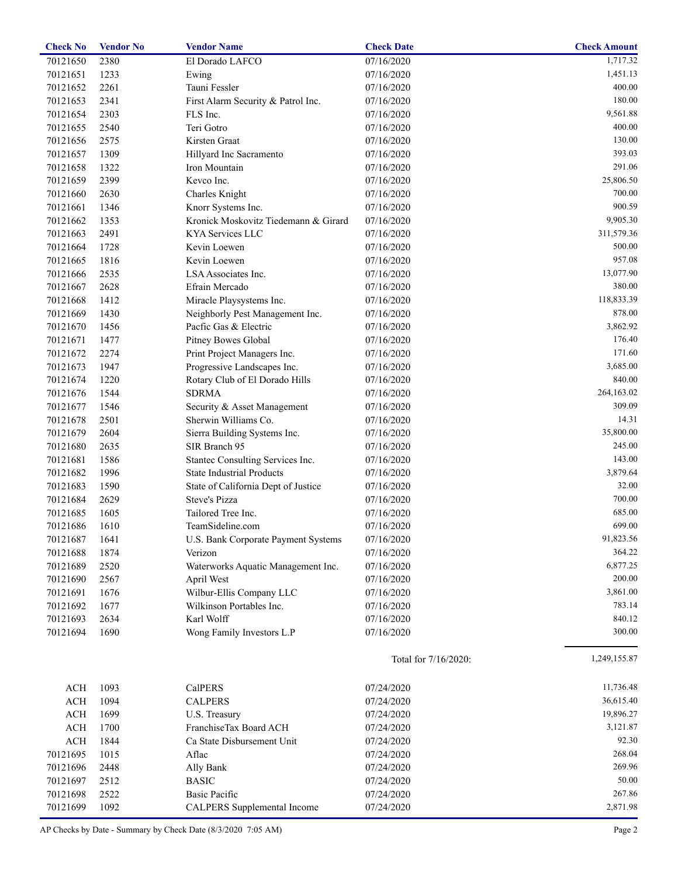| <b>Check No</b> | <b>Vendor No</b> | <b>Vendor Name</b>                   | <b>Check Date</b>    | <b>Check Amount</b> |
|-----------------|------------------|--------------------------------------|----------------------|---------------------|
| 70121650        | 2380             | El Dorado LAFCO                      | 07/16/2020           | 1,717.32            |
| 70121651        | 1233             | Ewing                                | 07/16/2020           | 1,451.13            |
| 70121652        | 2261             | Tauni Fessler                        | 07/16/2020           | 400.00              |
| 70121653        | 2341             | First Alarm Security & Patrol Inc.   | 07/16/2020           | 180.00              |
| 70121654        | 2303             | FLS Inc.                             | 07/16/2020           | 9,561.88            |
| 70121655        | 2540             | Teri Gotro                           | 07/16/2020           | 400.00              |
| 70121656        | 2575             | Kirsten Graat                        | 07/16/2020           | 130.00              |
| 70121657        | 1309             | Hillyard Inc Sacramento              | 07/16/2020           | 393.03              |
| 70121658        | 1322             | Iron Mountain                        | 07/16/2020           | 291.06              |
| 70121659        | 2399             | Kevco Inc.                           | 07/16/2020           | 25,806.50           |
| 70121660        | 2630             | Charles Knight                       | 07/16/2020           | 700.00              |
| 70121661        | 1346             | Knorr Systems Inc.                   | 07/16/2020           | 900.59              |
| 70121662        | 1353             | Kronick Moskovitz Tiedemann & Girard | 07/16/2020           | 9,905.30            |
| 70121663        | 2491             | KYA Services LLC                     | 07/16/2020           | 311,579.36          |
| 70121664        | 1728             | Kevin Loewen                         | 07/16/2020           | 500.00              |
| 70121665        | 1816             | Kevin Loewen                         | 07/16/2020           | 957.08              |
| 70121666        | 2535             | LSA Associates Inc.                  |                      | 13,077.90           |
|                 |                  |                                      | 07/16/2020           | 380.00              |
| 70121667        | 2628             | Efrain Mercado                       | 07/16/2020           |                     |
| 70121668        | 1412             | Miracle Playsystems Inc.             | 07/16/2020           | 118,833.39          |
| 70121669        | 1430             | Neighborly Pest Management Inc.      | 07/16/2020           | 878.00              |
| 70121670        | 1456             | Pacfic Gas & Electric                | 07/16/2020           | 3,862.92            |
| 70121671        | 1477             | Pitney Bowes Global                  | 07/16/2020           | 176.40              |
| 70121672        | 2274             | Print Project Managers Inc.          | 07/16/2020           | 171.60              |
| 70121673        | 1947             | Progressive Landscapes Inc.          | 07/16/2020           | 3,685.00            |
| 70121674        | 1220             | Rotary Club of El Dorado Hills       | 07/16/2020           | 840.00              |
| 70121676        | 1544             | <b>SDRMA</b>                         | 07/16/2020           | 264,163.02          |
| 70121677        | 1546             | Security & Asset Management          | 07/16/2020           | 309.09              |
| 70121678        | 2501             | Sherwin Williams Co.                 | 07/16/2020           | 14.31               |
| 70121679        | 2604             | Sierra Building Systems Inc.         | 07/16/2020           | 35,800.00           |
| 70121680        | 2635             | SIR Branch 95                        | 07/16/2020           | 245.00              |
| 70121681        | 1586             | Stantec Consulting Services Inc.     | 07/16/2020           | 143.00              |
| 70121682        | 1996             | <b>State Industrial Products</b>     | 07/16/2020           | 3,879.64            |
| 70121683        | 1590             | State of California Dept of Justice  | 07/16/2020           | 32.00               |
| 70121684        | 2629             | Steve's Pizza                        | 07/16/2020           | 700.00              |
| 70121685        | 1605             | Tailored Tree Inc.                   | 07/16/2020           | 685.00              |
| 70121686        | 1610             | TeamSideline.com                     | 07/16/2020           | 699.00              |
| 70121687        | 1641             | U.S. Bank Corporate Payment Systems  | 07/16/2020           | 91,823.56           |
| 70121688        | 1874             | Verizon                              | 07/16/2020           | 364.22              |
| 70121689        | 2520             | Waterworks Aquatic Management Inc.   | 07/16/2020           | 6,877.25            |
| 70121690        | 2567             | April West                           | 07/16/2020           | 200.00              |
| 70121691        | 1676             | Wilbur-Ellis Company LLC             | 07/16/2020           | 3,861.00            |
| 70121692        | 1677             | Wilkinson Portables Inc.             | 07/16/2020           | 783.14              |
| 70121693        | 2634             | Karl Wolff                           | 07/16/2020           | 840.12              |
| 70121694        | 1690             | Wong Family Investors L.P            | 07/16/2020           | 300.00              |
|                 |                  |                                      | Total for 7/16/2020: | 1,249,155.87        |
| <b>ACH</b>      | 1093             | CalPERS                              | 07/24/2020           | 11,736.48           |
| $\rm ACH$       | 1094             | <b>CALPERS</b>                       | 07/24/2020           | 36,615.40           |
| <b>ACH</b>      | 1699             | U.S. Treasury                        | 07/24/2020           | 19,896.27           |
| $\rm ACH$       | 1700             | FranchiseTax Board ACH               | 07/24/2020           | 3,121.87            |
| <b>ACH</b>      | 1844             | Ca State Disbursement Unit           | 07/24/2020           | 92.30               |
| 70121695        | 1015             | Aflac                                | 07/24/2020           | 268.04              |
| 70121696        | 2448             | Ally Bank                            | 07/24/2020           | 269.96              |
| 70121697        | 2512             | <b>BASIC</b>                         | 07/24/2020           | 50.00               |
| 70121698        | 2522             | <b>Basic Pacific</b>                 | 07/24/2020           | 267.86              |
| 70121699        | 1092             | <b>CALPERS</b> Supplemental Income   | 07/24/2020           | 2,871.98            |
|                 |                  |                                      |                      |                     |

AP Checks by Date - Summary by Check Date (8/3/2020 7:05 AM) Page 2